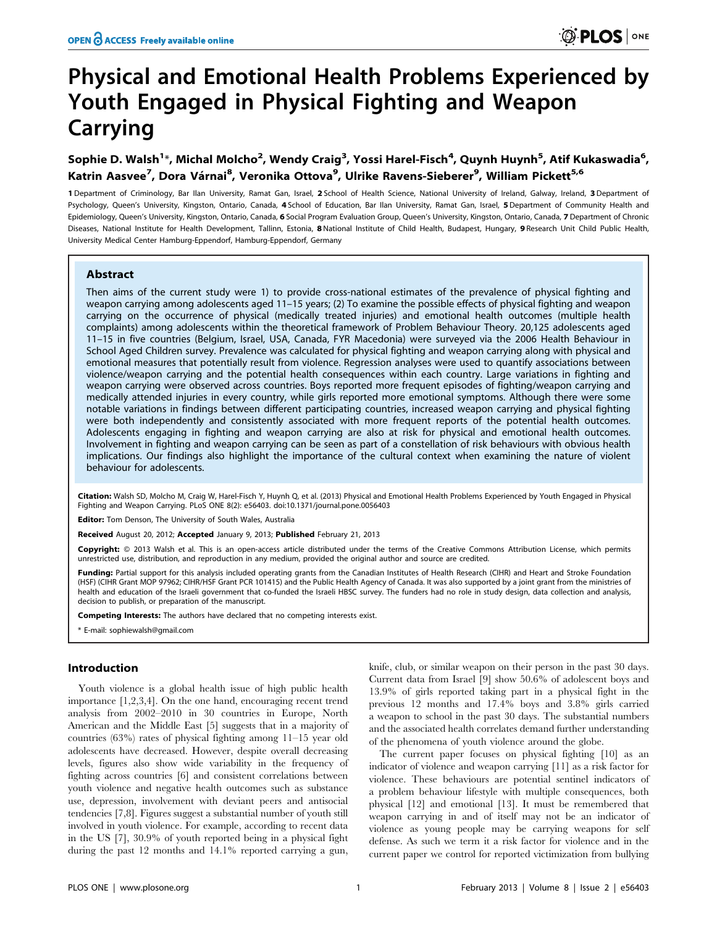# Physical and Emotional Health Problems Experienced by Youth Engaged in Physical Fighting and Weapon Carrying

## Sophie D. Walsh<sup>1</sup>\*, Michal Molcho<sup>2</sup>, Wendy Craig<sup>3</sup>, Yossi Harel-Fisch<sup>4</sup>, Quynh Huynh<sup>5</sup>, Atif Kukaswadia<sup>6</sup>, Katrin Aasvee<sup>7</sup>, Dora Várnai<sup>8</sup>, Veronika Ottova<sup>9</sup>, Ulrike Ravens-Sieberer<sup>9</sup>, William Pickett<sup>5,6</sup>

1 Department of Criminology, Bar Ilan University, Ramat Gan, Israel, 2 School of Health Science, National University of Ireland, Galway, Ireland, 3 Department of Psychology, Queen's University, Kingston, Ontario, Canada, 4 School of Education, Bar Ilan University, Ramat Gan, Israel, 5 Department of Community Health and Epidemiology, Queen's University, Kingston, Ontario, Canada, 6 Social Program Evaluation Group, Queen's University, Kingston, Ontario, Canada, 7 Department of Chronic Diseases, National Institute for Health Development, Tallinn, Estonia, 8 National Institute of Child Health, Budapest, Hungary, 9 Research Unit Child Public Health, University Medical Center Hamburg-Eppendorf, Hamburg-Eppendorf, Germany

## Abstract

Then aims of the current study were 1) to provide cross-national estimates of the prevalence of physical fighting and weapon carrying among adolescents aged 11–15 years; (2) To examine the possible effects of physical fighting and weapon carrying on the occurrence of physical (medically treated injuries) and emotional health outcomes (multiple health complaints) among adolescents within the theoretical framework of Problem Behaviour Theory. 20,125 adolescents aged 11–15 in five countries (Belgium, Israel, USA, Canada, FYR Macedonia) were surveyed via the 2006 Health Behaviour in School Aged Children survey. Prevalence was calculated for physical fighting and weapon carrying along with physical and emotional measures that potentially result from violence. Regression analyses were used to quantify associations between violence/weapon carrying and the potential health consequences within each country. Large variations in fighting and weapon carrying were observed across countries. Boys reported more frequent episodes of fighting/weapon carrying and medically attended injuries in every country, while girls reported more emotional symptoms. Although there were some notable variations in findings between different participating countries, increased weapon carrying and physical fighting were both independently and consistently associated with more frequent reports of the potential health outcomes. Adolescents engaging in fighting and weapon carrying are also at risk for physical and emotional health outcomes. Involvement in fighting and weapon carrying can be seen as part of a constellation of risk behaviours with obvious health implications. Our findings also highlight the importance of the cultural context when examining the nature of violent behaviour for adolescents.

Citation: Walsh SD, Molcho M, Craig W, Harel-Fisch Y, Huynh Q, et al. (2013) Physical and Emotional Health Problems Experienced by Youth Engaged in Physical Fighting and Weapon Carrying. PLoS ONE 8(2): e56403. doi:10.1371/journal.pone.0056403

Editor: Tom Denson, The University of South Wales, Australia

Received August 20, 2012; Accepted January 9, 2013; Published February 21, 2013

Copyright: @ 2013 Walsh et al. This is an open-access article distributed under the terms of the Creative Commons Attribution License, which permits unrestricted use, distribution, and reproduction in any medium, provided the original author and source are credited.

Funding: Partial support for this analysis included operating grants from the Canadian Institutes of Health Research (CIHR) and Heart and Stroke Foundation (HSF) (CIHR Grant MOP 97962; CIHR/HSF Grant PCR 101415) and the Public Health Agency of Canada. It was also supported by a joint grant from the ministries of health and education of the Israeli government that co-funded the Israeli HBSC survey. The funders had no role in study design, data collection and analysis, decision to publish, or preparation of the manuscript.

Competing Interests: The authors have declared that no competing interests exist.

E-mail: sophiewalsh@gmail.com

## Introduction

Youth violence is a global health issue of high public health importance [1,2,3,4]. On the one hand, encouraging recent trend analysis from 2002–2010 in 30 countries in Europe, North American and the Middle East [5] suggests that in a majority of countries (63%) rates of physical fighting among 11–15 year old adolescents have decreased. However, despite overall decreasing levels, figures also show wide variability in the frequency of fighting across countries [6] and consistent correlations between youth violence and negative health outcomes such as substance use, depression, involvement with deviant peers and antisocial tendencies [7,8]. Figures suggest a substantial number of youth still involved in youth violence. For example, according to recent data in the US [7], 30.9% of youth reported being in a physical fight during the past 12 months and 14.1% reported carrying a gun,

knife, club, or similar weapon on their person in the past 30 days. Current data from Israel [9] show 50.6% of adolescent boys and 13.9% of girls reported taking part in a physical fight in the previous 12 months and 17.4% boys and 3.8% girls carried a weapon to school in the past 30 days. The substantial numbers and the associated health correlates demand further understanding of the phenomena of youth violence around the globe.

The current paper focuses on physical fighting [10] as an indicator of violence and weapon carrying [11] as a risk factor for violence. These behaviours are potential sentinel indicators of a problem behaviour lifestyle with multiple consequences, both physical [12] and emotional [13]. It must be remembered that weapon carrying in and of itself may not be an indicator of violence as young people may be carrying weapons for self defense. As such we term it a risk factor for violence and in the current paper we control for reported victimization from bullying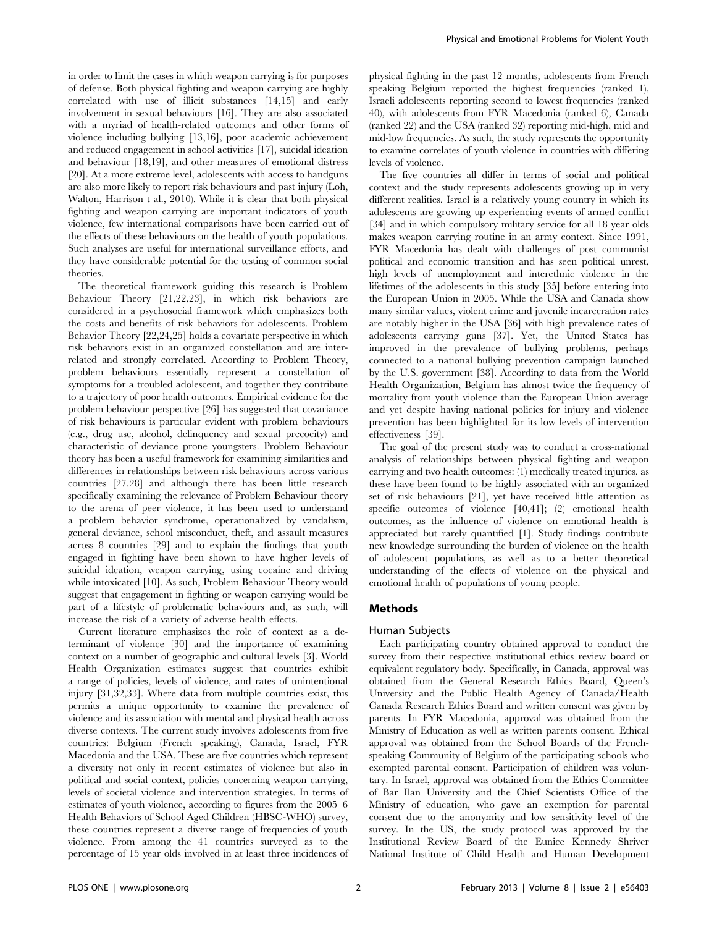in order to limit the cases in which weapon carrying is for purposes of defense. Both physical fighting and weapon carrying are highly correlated with use of illicit substances [14,15] and early involvement in sexual behaviours [16]. They are also associated with a myriad of health-related outcomes and other forms of violence including bullying [13,16], poor academic achievement and reduced engagement in school activities [17], suicidal ideation and behaviour [18,19], and other measures of emotional distress [20]. At a more extreme level, adolescents with access to handguns are also more likely to report risk behaviours and past injury (Loh, Walton, Harrison t al., 2010). While it is clear that both physical fighting and weapon carrying are important indicators of youth violence, few international comparisons have been carried out of the effects of these behaviours on the health of youth populations. Such analyses are useful for international surveillance efforts, and they have considerable potential for the testing of common social theories.

The theoretical framework guiding this research is Problem Behaviour Theory [21,22,23], in which risk behaviors are considered in a psychosocial framework which emphasizes both the costs and benefits of risk behaviors for adolescents. Problem Behavior Theory [22,24,25] holds a covariate perspective in which risk behaviors exist in an organized constellation and are interrelated and strongly correlated. According to Problem Theory, problem behaviours essentially represent a constellation of symptoms for a troubled adolescent, and together they contribute to a trajectory of poor health outcomes. Empirical evidence for the problem behaviour perspective [26] has suggested that covariance of risk behaviours is particular evident with problem behaviours (e.g., drug use, alcohol, delinquency and sexual precocity) and characteristic of deviance prone youngsters. Problem Behaviour theory has been a useful framework for examining similarities and differences in relationships between risk behaviours across various countries [27,28] and although there has been little research specifically examining the relevance of Problem Behaviour theory to the arena of peer violence, it has been used to understand a problem behavior syndrome, operationalized by vandalism, general deviance, school misconduct, theft, and assault measures across 8 countries [29] and to explain the findings that youth engaged in fighting have been shown to have higher levels of suicidal ideation, weapon carrying, using cocaine and driving while intoxicated [10]. As such, Problem Behaviour Theory would suggest that engagement in fighting or weapon carrying would be part of a lifestyle of problematic behaviours and, as such, will increase the risk of a variety of adverse health effects.

Current literature emphasizes the role of context as a determinant of violence [30] and the importance of examining context on a number of geographic and cultural levels [3]. World Health Organization estimates suggest that countries exhibit a range of policies, levels of violence, and rates of unintentional injury [31,32,33]. Where data from multiple countries exist, this permits a unique opportunity to examine the prevalence of violence and its association with mental and physical health across diverse contexts. The current study involves adolescents from five countries: Belgium (French speaking), Canada, Israel, FYR Macedonia and the USA. These are five countries which represent a diversity not only in recent estimates of violence but also in political and social context, policies concerning weapon carrying, levels of societal violence and intervention strategies. In terms of estimates of youth violence, according to figures from the 2005–6 Health Behaviors of School Aged Children (HBSC-WHO) survey, these countries represent a diverse range of frequencies of youth violence. From among the 41 countries surveyed as to the percentage of 15 year olds involved in at least three incidences of physical fighting in the past 12 months, adolescents from French speaking Belgium reported the highest frequencies (ranked 1), Israeli adolescents reporting second to lowest frequencies (ranked 40), with adolescents from FYR Macedonia (ranked 6), Canada (ranked 22) and the USA (ranked 32) reporting mid-high, mid and mid-low frequencies. As such, the study represents the opportunity to examine correlates of youth violence in countries with differing levels of violence.

The five countries all differ in terms of social and political context and the study represents adolescents growing up in very different realities. Israel is a relatively young country in which its adolescents are growing up experiencing events of armed conflict [34] and in which compulsory military service for all 18 year olds makes weapon carrying routine in an army context. Since 1991, FYR Macedonia has dealt with challenges of post communist political and economic transition and has seen political unrest, high levels of unemployment and interethnic violence in the lifetimes of the adolescents in this study [35] before entering into the European Union in 2005. While the USA and Canada show many similar values, violent crime and juvenile incarceration rates are notably higher in the USA [36] with high prevalence rates of adolescents carrying guns [37]. Yet, the United States has improved in the prevalence of bullying problems, perhaps connected to a national bullying prevention campaign launched by the U.S. government [38]. According to data from the World Health Organization, Belgium has almost twice the frequency of mortality from youth violence than the European Union average and yet despite having national policies for injury and violence prevention has been highlighted for its low levels of intervention effectiveness [39].

The goal of the present study was to conduct a cross-national analysis of relationships between physical fighting and weapon carrying and two health outcomes: (1) medically treated injuries, as these have been found to be highly associated with an organized set of risk behaviours [21], yet have received little attention as specific outcomes of violence [40,41]; (2) emotional health outcomes, as the influence of violence on emotional health is appreciated but rarely quantified [1]. Study findings contribute new knowledge surrounding the burden of violence on the health of adolescent populations, as well as to a better theoretical understanding of the effects of violence on the physical and emotional health of populations of young people.

## Methods

#### Human Subjects

Each participating country obtained approval to conduct the survey from their respective institutional ethics review board or equivalent regulatory body. Specifically, in Canada, approval was obtained from the General Research Ethics Board, Queen's University and the Public Health Agency of Canada/Health Canada Research Ethics Board and written consent was given by parents. In FYR Macedonia, approval was obtained from the Ministry of Education as well as written parents consent. Ethical approval was obtained from the School Boards of the Frenchspeaking Community of Belgium of the participating schools who exempted parental consent. Participation of children was voluntary. In Israel, approval was obtained from the Ethics Committee of Bar Ilan University and the Chief Scientists Office of the Ministry of education, who gave an exemption for parental consent due to the anonymity and low sensitivity level of the survey. In the US, the study protocol was approved by the Institutional Review Board of the Eunice Kennedy Shriver National Institute of Child Health and Human Development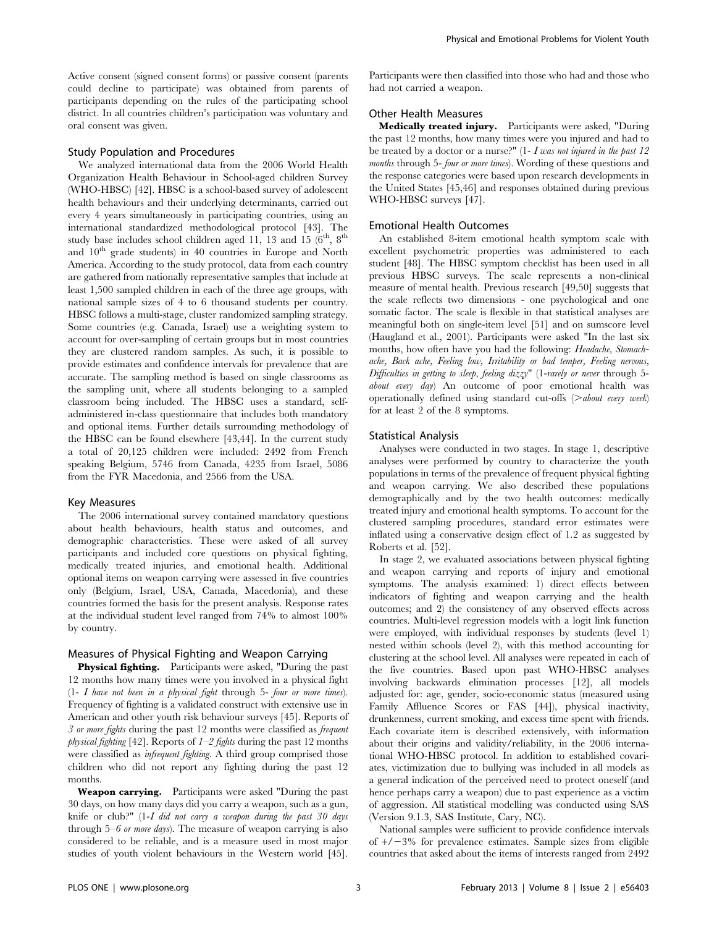Active consent (signed consent forms) or passive consent (parents could decline to participate) was obtained from parents of participants depending on the rules of the participating school district. In all countries children's participation was voluntary and oral consent was given.

#### Study Population and Procedures

We analyzed international data from the 2006 World Health Organization Health Behaviour in School-aged children Survey (WHO-HBSC) [42]. HBSC is a school-based survey of adolescent health behaviours and their underlying determinants, carried out every 4 years simultaneously in participating countries, using an international standardized methodological protocol [43]. The study base includes school children aged 11, 13 and 15  $(6^{th}, 8^{th})$ and  $10<sup>th</sup>$  grade students) in 40 countries in Europe and North America. According to the study protocol, data from each country are gathered from nationally representative samples that include at least 1,500 sampled children in each of the three age groups, with national sample sizes of 4 to 6 thousand students per country. HBSC follows a multi-stage, cluster randomized sampling strategy. Some countries (e.g. Canada, Israel) use a weighting system to account for over-sampling of certain groups but in most countries they are clustered random samples. As such, it is possible to provide estimates and confidence intervals for prevalence that are accurate. The sampling method is based on single classrooms as the sampling unit, where all students belonging to a sampled classroom being included. The HBSC uses a standard, selfadministered in-class questionnaire that includes both mandatory and optional items. Further details surrounding methodology of the HBSC can be found elsewhere [43,44]. In the current study a total of 20,125 children were included: 2492 from French speaking Belgium, 5746 from Canada, 4235 from Israel, 5086 from the FYR Macedonia, and 2566 from the USA.

#### Key Measures

The 2006 international survey contained mandatory questions about health behaviours, health status and outcomes, and demographic characteristics. These were asked of all survey participants and included core questions on physical fighting, medically treated injuries, and emotional health. Additional optional items on weapon carrying were assessed in five countries only (Belgium, Israel, USA, Canada, Macedonia), and these countries formed the basis for the present analysis. Response rates at the individual student level ranged from 74% to almost 100% by country.

#### Measures of Physical Fighting and Weapon Carrying

Physical fighting. Participants were asked, "During the past 12 months how many times were you involved in a physical fight  $(1-I)$  have not been in a physical fight through 5- four or more times). Frequency of fighting is a validated construct with extensive use in American and other youth risk behaviour surveys [45]. Reports of 3 or more fights during the past 12 months were classified as frequent physical fighting [42]. Reports of  $1-2$  fights during the past 12 months were classified as *infrequent fighting*. A third group comprised those children who did not report any fighting during the past 12 months.

Weapon carrying. Participants were asked "During the past 30 days, on how many days did you carry a weapon, such as a gun, knife or club?" (1-I did not carry a weapon during the past 30 days through  $5-6$  or more days). The measure of weapon carrying is also considered to be reliable, and is a measure used in most major studies of youth violent behaviours in the Western world [45]. Participants were then classified into those who had and those who had not carried a weapon.

## Other Health Measures

Medically treated injury. Participants were asked, "During the past 12 months, how many times were you injured and had to be treated by a doctor or a nurse?"  $(1-I$  was not injured in the past 12 months through 5- four or more times). Wording of these questions and the response categories were based upon research developments in the United States [45,46] and responses obtained during previous WHO-HBSC surveys [47].

## Emotional Health Outcomes

An established 8-item emotional health symptom scale with excellent psychometric properties was administered to each student [48]. The HBSC symptom checklist has been used in all previous HBSC surveys. The scale represents a non-clinical measure of mental health. Previous research [49,50] suggests that the scale reflects two dimensions - one psychological and one somatic factor. The scale is flexible in that statistical analyses are meaningful both on single-item level [51] and on sumscore level (Haugland et al., 2001). Participants were asked "In the last six months, how often have you had the following: Headache, Stomachache, Back ache, Feeling low, Irritability or bad temper, Feeling nervous, Difficulties in getting to sleep, feeling dizzy" (1-rarely or never through 5about every day) An outcome of poor emotional health was operationally defined using standard cut-offs  $(> about\ every\ week)$ for at least 2 of the 8 symptoms.

#### Statistical Analysis

Analyses were conducted in two stages. In stage 1, descriptive analyses were performed by country to characterize the youth populations in terms of the prevalence of frequent physical fighting and weapon carrying. We also described these populations demographically and by the two health outcomes: medically treated injury and emotional health symptoms. To account for the clustered sampling procedures, standard error estimates were inflated using a conservative design effect of 1.2 as suggested by Roberts et al. [52].

In stage 2, we evaluated associations between physical fighting and weapon carrying and reports of injury and emotional symptoms. The analysis examined: 1) direct effects between indicators of fighting and weapon carrying and the health outcomes; and 2) the consistency of any observed effects across countries. Multi-level regression models with a logit link function were employed, with individual responses by students (level 1) nested within schools (level 2), with this method accounting for clustering at the school level. All analyses were repeated in each of the five countries. Based upon past WHO-HBSC analyses involving backwards elimination processes [12], all models adjusted for: age, gender, socio-economic status (measured using Family Affluence Scores or FAS [44]), physical inactivity, drunkenness, current smoking, and excess time spent with friends. Each covariate item is described extensively, with information about their origins and validity/reliability, in the 2006 international WHO-HBSC protocol. In addition to established covariates, victimization due to bullying was included in all models as a general indication of the perceived need to protect oneself (and hence perhaps carry a weapon) due to past experience as a victim of aggression. All statistical modelling was conducted using SAS (Version 9.1.3, SAS Institute, Cary, NC).

National samples were sufficient to provide confidence intervals of  $+/-3\%$  for prevalence estimates. Sample sizes from eligible countries that asked about the items of interests ranged from 2492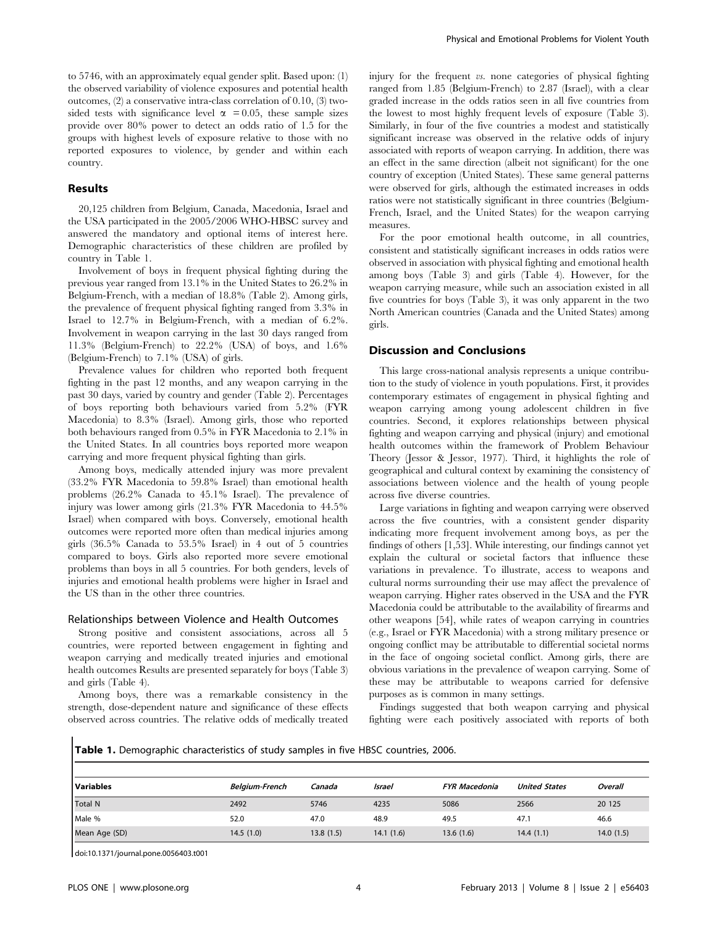to 5746, with an approximately equal gender split. Based upon: (1) the observed variability of violence exposures and potential health outcomes, (2) a conservative intra-class correlation of 0.10, (3) twosided tests with significance level  $\alpha$  = 0.05, these sample sizes provide over 80% power to detect an odds ratio of 1.5 for the groups with highest levels of exposure relative to those with no reported exposures to violence, by gender and within each country.

#### Results

20,125 children from Belgium, Canada, Macedonia, Israel and the USA participated in the 2005/2006 WHO-HBSC survey and answered the mandatory and optional items of interest here. Demographic characteristics of these children are profiled by country in Table 1.

Involvement of boys in frequent physical fighting during the previous year ranged from 13.1% in the United States to 26.2% in Belgium-French, with a median of 18.8% (Table 2). Among girls, the prevalence of frequent physical fighting ranged from 3.3% in Israel to 12.7% in Belgium-French, with a median of 6.2%. Involvement in weapon carrying in the last 30 days ranged from 11.3% (Belgium-French) to 22.2% (USA) of boys, and 1.6% (Belgium-French) to 7.1% (USA) of girls.

Prevalence values for children who reported both frequent fighting in the past 12 months, and any weapon carrying in the past 30 days, varied by country and gender (Table 2). Percentages of boys reporting both behaviours varied from 5.2% (FYR Macedonia) to 8.3% (Israel). Among girls, those who reported both behaviours ranged from 0.5% in FYR Macedonia to 2.1% in the United States. In all countries boys reported more weapon carrying and more frequent physical fighting than girls.

Among boys, medically attended injury was more prevalent (33.2% FYR Macedonia to 59.8% Israel) than emotional health problems (26.2% Canada to 45.1% Israel). The prevalence of injury was lower among girls (21.3% FYR Macedonia to 44.5% Israel) when compared with boys. Conversely, emotional health outcomes were reported more often than medical injuries among girls (36.5% Canada to 53.5% Israel) in 4 out of 5 countries compared to boys. Girls also reported more severe emotional problems than boys in all 5 countries. For both genders, levels of injuries and emotional health problems were higher in Israel and the US than in the other three countries.

### Relationships between Violence and Health Outcomes

Strong positive and consistent associations, across all 5 countries, were reported between engagement in fighting and weapon carrying and medically treated injuries and emotional health outcomes Results are presented separately for boys (Table 3) and girls (Table 4).

Among boys, there was a remarkable consistency in the strength, dose-dependent nature and significance of these effects observed across countries. The relative odds of medically treated injury for the frequent vs. none categories of physical fighting ranged from 1.85 (Belgium-French) to 2.87 (Israel), with a clear graded increase in the odds ratios seen in all five countries from the lowest to most highly frequent levels of exposure (Table 3). Similarly, in four of the five countries a modest and statistically significant increase was observed in the relative odds of injury associated with reports of weapon carrying. In addition, there was an effect in the same direction (albeit not significant) for the one country of exception (United States). These same general patterns were observed for girls, although the estimated increases in odds ratios were not statistically significant in three countries (Belgium-French, Israel, and the United States) for the weapon carrying measures.

For the poor emotional health outcome, in all countries, consistent and statistically significant increases in odds ratios were observed in association with physical fighting and emotional health among boys (Table 3) and girls (Table 4). However, for the weapon carrying measure, while such an association existed in all five countries for boys (Table 3), it was only apparent in the two North American countries (Canada and the United States) among girls.

#### Discussion and Conclusions

This large cross-national analysis represents a unique contribution to the study of violence in youth populations. First, it provides contemporary estimates of engagement in physical fighting and weapon carrying among young adolescent children in five countries. Second, it explores relationships between physical fighting and weapon carrying and physical (injury) and emotional health outcomes within the framework of Problem Behaviour Theory (Jessor & Jessor, 1977). Third, it highlights the role of geographical and cultural context by examining the consistency of associations between violence and the health of young people across five diverse countries.

Large variations in fighting and weapon carrying were observed across the five countries, with a consistent gender disparity indicating more frequent involvement among boys, as per the findings of others [1,53]. While interesting, our findings cannot yet explain the cultural or societal factors that influence these variations in prevalence. To illustrate, access to weapons and cultural norms surrounding their use may affect the prevalence of weapon carrying. Higher rates observed in the USA and the FYR Macedonia could be attributable to the availability of firearms and other weapons [54], while rates of weapon carrying in countries (e.g., Israel or FYR Macedonia) with a strong military presence or ongoing conflict may be attributable to differential societal norms in the face of ongoing societal conflict. Among girls, there are obvious variations in the prevalence of weapon carrying. Some of these may be attributable to weapons carried for defensive purposes as is common in many settings.

Findings suggested that both weapon carrying and physical fighting were each positively associated with reports of both

Table 1. Demographic characteristics of study samples in five HBSC countries, 2006.

| l Variables    | <b>Belgium-French</b> | Canada    | Israel    | <b>FYR Macedonia</b> | <b>United States</b> | Overall   |
|----------------|-----------------------|-----------|-----------|----------------------|----------------------|-----------|
| <b>Total N</b> | 2492                  | 5746      | 4235      | 5086                 | 2566                 | 20 125    |
| Male %         | 52.0                  | 47.0      | 48.9      | 49.5                 | 47.1                 | 46.6      |
| Mean Age (SD)  | 14.5 (1.0)            | 13.8(1.5) | 14.1(1.6) | 13.6(1.6)            | 14.4(1.1)            | 14.0(1.5) |

doi:10.1371/journal.pone.0056403.t001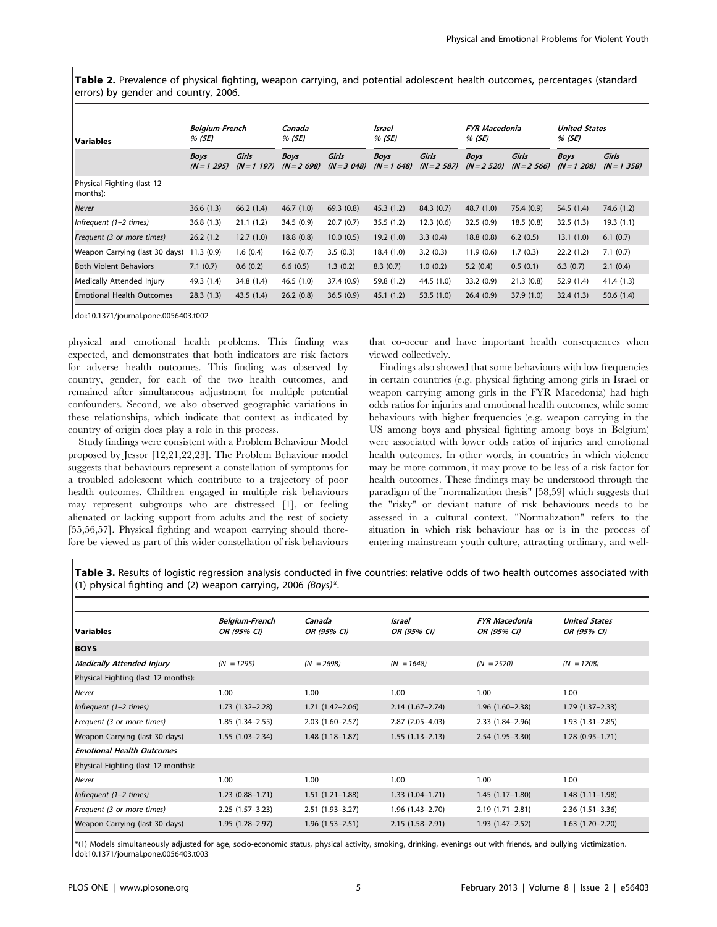Table 2. Prevalence of physical fighting, weapon carrying, and potential adolescent health outcomes, percentages (standard errors) by gender and country, 2006.

| <b>Variables</b>                       | <b>Belgium-French</b><br>% (SE) |                      | Canada<br>% (SE)             |                        | Israel<br>% (SE)             |                        | <b>FYR Macedonia</b><br>% (SE) |                       | <b>United States</b><br>% (SE) |                        |
|----------------------------------------|---------------------------------|----------------------|------------------------------|------------------------|------------------------------|------------------------|--------------------------------|-----------------------|--------------------------------|------------------------|
|                                        | <b>Boys</b><br>$(N = 1 295)$    | Girls<br>$(N=1 197)$ | <b>Boys</b><br>$(N = 2 698)$ | Girls<br>$(N = 3 048)$ | <b>Boys</b><br>$(N = 1 648)$ | Girls<br>$(N = 2 587)$ | <b>Boys</b><br>$(N = 2 520)$   | Girls<br>$(N=2, 566)$ | <b>Boys</b><br>$(N = 1 208)$   | Girls<br>$(N = 1 358)$ |
| Physical Fighting (last 12<br>months): |                                 |                      |                              |                        |                              |                        |                                |                       |                                |                        |
| Never                                  | 36.6(1.3)                       | 66.2(1.4)            | 46.7(1.0)                    | 69.3(0.8)              | 45.3(1.2)                    | 84.3 (0.7)             | 48.7(1.0)                      | 75.4 (0.9)            | 54.5 (1.4)                     | 74.6 (1.2)             |
| Infrequent (1-2 times)                 | 36.8(1.3)                       | 21.1(1.2)            | 34.5 (0.9)                   | 20.7(0.7)              | 35.5(1.2)                    | 12.3(0.6)              | 32.5(0.9)                      | 18.5(0.8)             | 32.5(1.3)                      | 19.3(1.1)              |
| Frequent (3 or more times)             | 26.2(1.2)                       | 12.7(1.0)            | 18.8(0.8)                    | 10.0(0.5)              | 19.2(1.0)                    | 3.3(0.4)               | 18.8(0.8)                      | 6.2(0.5)              | 13.1(1.0)                      | 6.1(0.7)               |
| Weapon Carrying (last 30 days)         | 11.3(0.9)                       | 1.6(0.4)             | 16.2(0.7)                    | 3.5(0.3)               | 18.4(1.0)                    | 3.2(0.3)               | 11.9(0.6)                      | 1.7(0.3)              | 22.2(1.2)                      | 7.1(0.7)               |
| <b>Both Violent Behaviors</b>          | 7.1(0.7)                        | 0.6(0.2)             | 6.6(0.5)                     | 1.3(0.2)               | 8.3(0.7)                     | 1.0(0.2)               | 5.2(0.4)                       | 0.5(0.1)              | 6.3(0.7)                       | 2.1(0.4)               |
| Medically Attended Injury              | 49.3 (1.4)                      | 34.8 (1.4)           | 46.5(1.0)                    | 37.4 (0.9)             | 59.8 (1.2)                   | 44.5 (1.0)             | 33.2(0.9)                      | 21.3(0.8)             | 52.9 (1.4)                     | 41.4 (1.3)             |
| <b>Emotional Health Outcomes</b>       | 28.3(1.3)                       | 43.5(1.4)            | 26.2(0.8)                    | 36.5(0.9)              | 45.1(1.2)                    | 53.5(1.0)              | 26.4(0.9)                      | 37.9(1.0)             | 32.4(1.3)                      | 50.6(1.4)              |

doi:10.1371/journal.pone.0056403.t002

physical and emotional health problems. This finding was expected, and demonstrates that both indicators are risk factors for adverse health outcomes. This finding was observed by country, gender, for each of the two health outcomes, and remained after simultaneous adjustment for multiple potential confounders. Second, we also observed geographic variations in these relationships, which indicate that context as indicated by country of origin does play a role in this process.

Study findings were consistent with a Problem Behaviour Model proposed by Jessor [12,21,22,23]. The Problem Behaviour model suggests that behaviours represent a constellation of symptoms for a troubled adolescent which contribute to a trajectory of poor health outcomes. Children engaged in multiple risk behaviours may represent subgroups who are distressed [1], or feeling alienated or lacking support from adults and the rest of society [55,56,57]. Physical fighting and weapon carrying should therefore be viewed as part of this wider constellation of risk behaviours

that co-occur and have important health consequences when viewed collectively.

Findings also showed that some behaviours with low frequencies in certain countries (e.g. physical fighting among girls in Israel or weapon carrying among girls in the FYR Macedonia) had high odds ratios for injuries and emotional health outcomes, while some behaviours with higher frequencies (e.g. weapon carrying in the US among boys and physical fighting among boys in Belgium) were associated with lower odds ratios of injuries and emotional health outcomes. In other words, in countries in which violence may be more common, it may prove to be less of a risk factor for health outcomes. These findings may be understood through the paradigm of the "normalization thesis" [58,59] which suggests that the "risky" or deviant nature of risk behaviours needs to be assessed in a cultural context. "Normalization" refers to the situation in which risk behaviour has or is in the process of entering mainstream youth culture, attracting ordinary, and well-

Table 3. Results of logistic regression analysis conducted in five countries: relative odds of two health outcomes associated with (1) physical fighting and (2) weapon carrying, 2006 (Boys)\*.

| l Variables                         | <b>Belgium-French</b><br>OR (95% CI) | Canada<br>OR (95% CI) | Israel<br>OR (95% CI) | <b>FYR Macedonia</b><br>OR (95% CI) | <b>United States</b><br>OR (95% CI) |  |
|-------------------------------------|--------------------------------------|-----------------------|-----------------------|-------------------------------------|-------------------------------------|--|
| <b>BOYS</b>                         |                                      |                       |                       |                                     |                                     |  |
| Medically Attended Injury           | $(N = 1295)$                         | $(N = 2698)$          | $(N = 1648)$          | $(N = 2520)$                        | $(N = 1208)$                        |  |
| Physical Fighting (last 12 months): |                                      |                       |                       |                                     |                                     |  |
| Never                               | 1.00                                 | 1.00                  | 1.00                  | 1.00                                | 1.00                                |  |
| Infrequent $(1-2 \text{ times})$    | $1.73(1.32 - 2.28)$                  | $1.71(1.42 - 2.06)$   | $2.14(1.67 - 2.74)$   | $1.96(1.60 - 2.38)$                 | $1.79(1.37 - 2.33)$                 |  |
| Frequent (3 or more times)          | $1.85(1.34 - 2.55)$                  | $2.03(1.60 - 2.57)$   | $2.87(2.05-4.03)$     | $2.33(1.84 - 2.96)$                 | $1.93(1.31 - 2.85)$                 |  |
| Weapon Carrying (last 30 days)      | $1.55(1.03 - 2.34)$                  | $1.48(1.18-1.87)$     | $1.55(1.13-2.13)$     | $2.54(1.95 - 3.30)$                 | $1.28(0.95 - 1.71)$                 |  |
| <b>Emotional Health Outcomes</b>    |                                      |                       |                       |                                     |                                     |  |
| Physical Fighting (last 12 months): |                                      |                       |                       |                                     |                                     |  |
| <b>Never</b>                        | 1.00                                 | 1.00                  | 1.00                  | 1.00                                | 1.00                                |  |
| Infrequent $(1-2 \text{ times})$    | $1.23(0.88 - 1.71)$                  | $1.51(1.21 - 1.88)$   | $1.33(1.04 - 1.71)$   | $1.45(1.17-1.80)$                   | $1.48(1.11 - 1.98)$                 |  |
| Frequent (3 or more times)          | $2.25(1.57-3.23)$                    | $2.51(1.93 - 3.27)$   | $1.96(1.43 - 2.70)$   | $2.19(1.71 - 2.81)$                 | $2.36(1.51 - 3.36)$                 |  |
| Weapon Carrying (last 30 days)      | $1.95(1.28 - 2.97)$                  | $1.96(1.53 - 2.51)$   | $2.15(1.58 - 2.91)$   | $1.93(1.47 - 2.52)$                 | $1.63(1.20-2.20)$                   |  |

\*(1) Models simultaneously adjusted for age, socio-economic status, physical activity, smoking, drinking, evenings out with friends, and bullying victimization. doi:10.1371/journal.pone.0056403.t003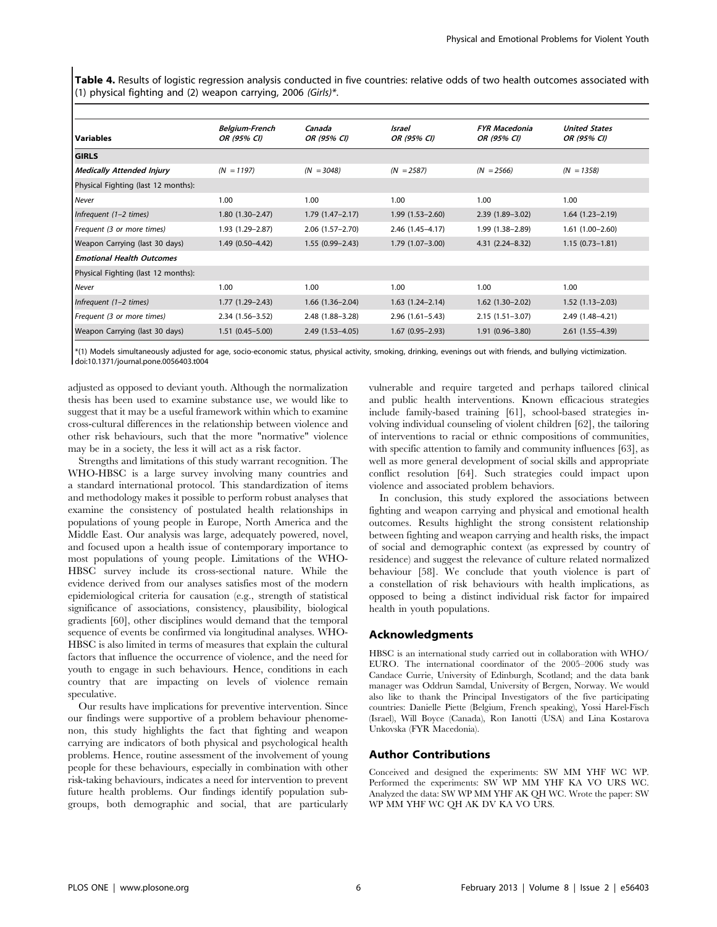Table 4. Results of logistic regression analysis conducted in five countries: relative odds of two health outcomes associated with (1) physical fighting and (2) weapon carrying, 2006 (Girls)\*.

|                                     | <b>Belgium-French</b> | Canada              | Israel              | <b>FYR Macedonia</b> | <b>United States</b> |
|-------------------------------------|-----------------------|---------------------|---------------------|----------------------|----------------------|
| Variables                           | OR (95% CI)           | OR (95% CI)         | OR (95% CI)         | OR (95% CI)          | OR (95% CI)          |
| <b>GIRLS</b>                        |                       |                     |                     |                      |                      |
| Medically Attended Injury           | $(N = 1197)$          | $(N = 3048)$        | $(N = 2587)$        | $(N = 2566)$         | $(N = 1358)$         |
| Physical Fighting (last 12 months): |                       |                     |                     |                      |                      |
| Never                               | 1.00                  | 1.00                | 1.00                | 1.00                 | 1.00                 |
| Infrequent $(1-2 \text{ times})$    | $1.80(1.30-2.47)$     | $1.79(1.47 - 2.17)$ | $1.99(1.53 - 2.60)$ | $2.39(1.89 - 3.02)$  | $1.64(1.23 - 2.19)$  |
| Frequent (3 or more times)          | 1.93 (1.29 - 2.87)    | $2.06(1.57 - 2.70)$ | 2.46 (1.45-4.17)    | 1.99 (1.38-2.89)     | $1.61(1.00-2.60)$    |
| Weapon Carrying (last 30 days)      | $1.49(0.50-4.42)$     | $1.55(0.99 - 2.43)$ | $1.79(1.07 - 3.00)$ | $4.31(2.24 - 8.32)$  | $1.15(0.73 - 1.81)$  |
| <b>Emotional Health Outcomes</b>    |                       |                     |                     |                      |                      |
| Physical Fighting (last 12 months): |                       |                     |                     |                      |                      |
| Never                               | 1.00                  | 1.00                | 1.00                | 1.00                 | 1.00                 |
| Infrequent (1-2 times)              | $1.77(1.29 - 2.43)$   | $1.66(1.36 - 2.04)$ | $1.63(1.24 - 2.14)$ | $1.62$ (1.30-2.02)   | $1.52(1.13 - 2.03)$  |
| Frequent (3 or more times)          | $2.34(1.56 - 3.52)$   | 2.48 (1.88-3.28)    | $2.96(1.61 - 5.43)$ | $2.15(1.51 - 3.07)$  | 2.49 (1.48-4.21)     |
| Weapon Carrying (last 30 days)      | $1.51(0.45 - 5.00)$   | $2.49(1.53 - 4.05)$ | $1.67(0.95 - 2.93)$ | $1.91(0.96 - 3.80)$  | $2.61(1.55 - 4.39)$  |

\*(1) Models simultaneously adjusted for age, socio-economic status, physical activity, smoking, drinking, evenings out with friends, and bullying victimization. doi:10.1371/journal.pone.0056403.t004

adjusted as opposed to deviant youth. Although the normalization thesis has been used to examine substance use, we would like to suggest that it may be a useful framework within which to examine cross-cultural differences in the relationship between violence and other risk behaviours, such that the more "normative" violence may be in a society, the less it will act as a risk factor.

Strengths and limitations of this study warrant recognition. The WHO-HBSC is a large survey involving many countries and a standard international protocol. This standardization of items and methodology makes it possible to perform robust analyses that examine the consistency of postulated health relationships in populations of young people in Europe, North America and the Middle East. Our analysis was large, adequately powered, novel, and focused upon a health issue of contemporary importance to most populations of young people. Limitations of the WHO-HBSC survey include its cross-sectional nature. While the evidence derived from our analyses satisfies most of the modern epidemiological criteria for causation (e.g., strength of statistical significance of associations, consistency, plausibility, biological gradients [60], other disciplines would demand that the temporal sequence of events be confirmed via longitudinal analyses. WHO-HBSC is also limited in terms of measures that explain the cultural factors that influence the occurrence of violence, and the need for youth to engage in such behaviours. Hence, conditions in each country that are impacting on levels of violence remain speculative.

Our results have implications for preventive intervention. Since our findings were supportive of a problem behaviour phenomenon, this study highlights the fact that fighting and weapon carrying are indicators of both physical and psychological health problems. Hence, routine assessment of the involvement of young people for these behaviours, especially in combination with other risk-taking behaviours, indicates a need for intervention to prevent future health problems. Our findings identify population subgroups, both demographic and social, that are particularly vulnerable and require targeted and perhaps tailored clinical and public health interventions. Known efficacious strategies include family-based training [61], school-based strategies involving individual counseling of violent children [62], the tailoring of interventions to racial or ethnic compositions of communities, with specific attention to family and community influences [63], as well as more general development of social skills and appropriate conflict resolution [64]. Such strategies could impact upon violence and associated problem behaviors.

In conclusion, this study explored the associations between fighting and weapon carrying and physical and emotional health outcomes. Results highlight the strong consistent relationship between fighting and weapon carrying and health risks, the impact of social and demographic context (as expressed by country of residence) and suggest the relevance of culture related normalized behaviour [58]. We conclude that youth violence is part of a constellation of risk behaviours with health implications, as opposed to being a distinct individual risk factor for impaired health in youth populations.

## Acknowledgments

HBSC is an international study carried out in collaboration with WHO/ EURO. The international coordinator of the 2005–2006 study was Candace Currie, University of Edinburgh, Scotland; and the data bank manager was Oddrun Samdal, University of Bergen, Norway. We would also like to thank the Principal Investigators of the five participating countries: Danielle Piette (Belgium, French speaking), Yossi Harel-Fisch (Israel), Will Boyce (Canada), Ron Ianotti (USA) and Lina Kostarova Unkovska (FYR Macedonia).

## Author Contributions

Conceived and designed the experiments: SW MM YHF WC WP. Performed the experiments: SW WP MM YHF KA VO URS WC. Analyzed the data: SW WP MM YHF AK QH WC. Wrote the paper: SW WP MM YHF WC QH AK DV KA VO URS.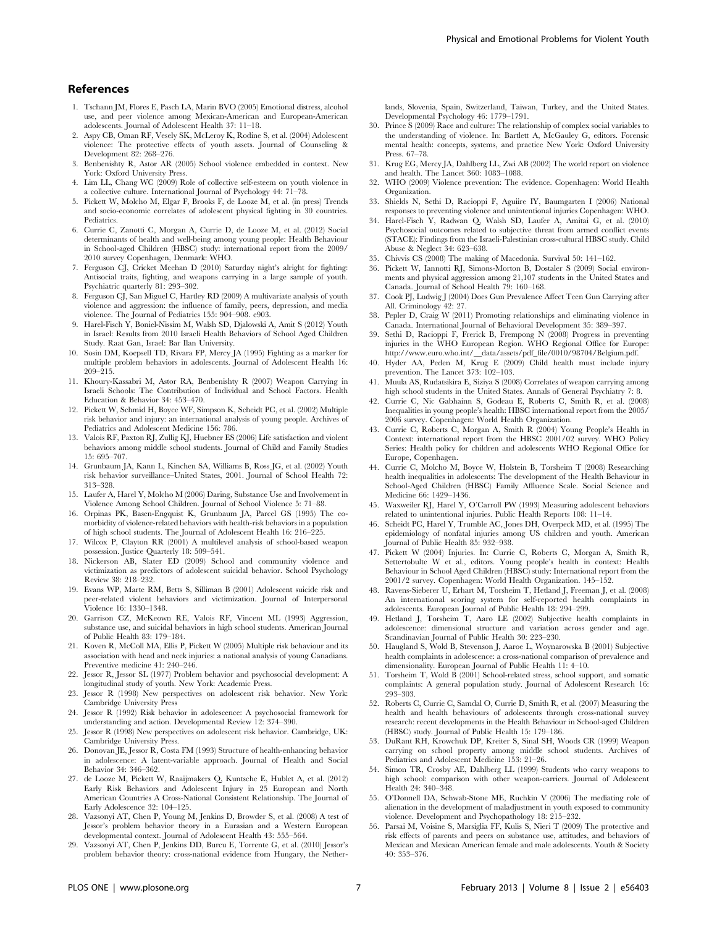- 1. Tschann JM, Flores E, Pasch LA, Marin BVO (2005) Emotional distress, alcohol use, and peer violence among Mexican-American and European-American adolescents. Journal of Adolescent Health 37: 11–18.
- 2. Aspy CB, Oman RF, Vesely SK, McLeroy K, Rodine S, et al. (2004) Adolescent violence: The protective effects of youth assets. Journal of Counseling & Development 82: 268–276.
- 3. Benbenishty R, Astor AR (2005) School violence embedded in context. New York: Oxford University Press.
- 4. Lim LL, Chang WC (2009) Role of collective self-esteem on youth violence in a collective culture. International Journal of Psychology 44: 71–78.
- 5. Pickett W, Molcho M, Elgar F, Brooks F, de Looze M, et al. (in press) Trends and socio-economic correlates of adolescent physical fighting in 30 countries. Pediatrics.
- 6. Currie C, Zanotti C, Morgan A, Currie D, de Looze M, et al. (2012) Social determinants of health and well-being among young people: Health Behaviour in School-aged Children (HBSC) study: international report from the 2009/ 2010 survey Copenhagen, Denmark: WHO.
- 7. Ferguson CJ, Cricket Meehan D (2010) Saturday night's alright for fighting: Antisocial traits, fighting, and weapons carrying in a large sample of youth. Psychiatric quarterly 81: 293–302.
- 8. Ferguson CJ, San Miguel C, Hartley RD (2009) A multivariate analysis of youth violence and aggression: the influence of family, peers, depression, and media violence. The Journal of Pediatrics 155: 904–908. e903.
- 9. Harel-Fisch Y, Boniel-Nissim M, Walsh SD, Djalowski A, Amit S (2012) Youth in Israel: Results from 2010 Israeli Health Behaviors of School Aged Children Study. Raat Gan, Israel: Bar Ilan University.
- 10. Sosin DM, Koepsell TD, Rivara FP, Mercy JA (1995) Fighting as a marker for multiple problem behaviors in adolescents. Journal of Adolescent Health 16: 209–215.
- 11. Khoury-Kassabri M, Astor RA, Benbenishty R (2007) Weapon Carrying in Israeli Schools: The Contribution of Individual and School Factors. Health Education & Behavior 34: 453–470.
- 12. Pickett W, Schmid H, Boyce WF, Simpson K, Scheidt PC, et al. (2002) Multiple risk behavior and injury: an international analysis of young people. Archives of Pediatrics and Adolescent Medicine 156: 786.
- 13. Valois RF, Paxton RJ, Zullig KJ, Huebner ES (2006) Life satisfaction and violent behaviors among middle school students. Journal of Child and Family Studies 15: 695–707.
- 14. Grunbaum JA, Kann L, Kinchen SA, Williams B, Ross JG, et al. (2002) Youth risk behavior surveillance–United States, 2001. Journal of School Health 72: 313–328.
- 15. Laufer A, Harel Y, Molcho M (2006) Daring, Substance Use and Involvement in Violence Among School Children. Journal of School Violence 5: 71–88.
- 16. Orpinas PK, Basen-Engquist K, Grunbaum JA, Parcel GS (1995) The comorbidity of violence-related behaviors with health-risk behaviors in a population of high school students. The Journal of Adolescent Health 16: 216–225.
- 17. Wilcox P, Clayton RR (2001) A multilevel analysis of school-based weapon possession. Justice Quarterly 18: 509–541.
- 18. Nickerson AB, Slater ED (2009) School and community violence and victimization as predictors of adolescent suicidal behavior. School Psychology Review 38: 218–232.
- 19. Evans WP, Marte RM, Betts S, Silliman B (2001) Adolescent suicide risk and peer-related violent behaviors and victimization. Journal of Interpersonal Violence 16: 1330–1348.
- 20. Garrison CZ, McKeown RE, Valois RF, Vincent ML (1993) Aggression, substance use, and suicidal behaviors in high school students. American Journal of Public Health 83: 179–184.
- 21. Koven R, McColl MA, Ellis P, Pickett W (2005) Multiple risk behaviour and its association with head and neck injuries: a national analysis of young Canadians. Preventive medicine 41: 240–246.
- 22. Jessor R, Jessor SL (1977) Problem behavior and psychosocial development: A longitudinal study of youth. New York: Academic Press.
- 23. Jessor R (1998) New perspectives on adolescent risk behavior. New York: Cambridge University Press
- 24. Jessor R (1992) Risk behavior in adolescence: A psychosocial framework for understanding and action. Developmental Review 12: 374–390.
- 25. Jessor R (1998) New perspectives on adolescent risk behavior. Cambridge, UK: Cambridge University Press.
- 26. Donovan JE, Jessor R, Costa FM (1993) Structure of health-enhancing behavior in adolescence: A latent-variable approach. Journal of Health and Social Behavior 34: 346–362.
- 27. de Looze M, Pickett W, Raaijmakers Q, Kuntsche E, Hublet A, et al. (2012) Early Risk Behaviors and Adolescent Injury in 25 European and North American Countries A Cross-National Consistent Relationship. The Journal of Early Adolescence 32: 104–125.
- 28. Vazsonyi AT, Chen P, Young M, Jenkins D, Browder S, et al. (2008) A test of Jessor's problem behavior theory in a Eurasian and a Western European developmental context. Journal of Adolescent Health 43: 555–564.
- 29. Vazsonyi AT, Chen P, Jenkins DD, Burcu E, Torrente G, et al. (2010) Jessor's problem behavior theory: cross-national evidence from Hungary, the Nether-

lands, Slovenia, Spain, Switzerland, Taiwan, Turkey, and the United States. Developmental Psychology 46: 1779–1791.

- 30. Prince S (2009) Race and culture: The relationship of complex social variables to the understanding of violence. In: Bartlett A, McGauley G, editors. Forensic mental health: concepts, systems, and practice New York: Oxford University Press. 67–78.
- 31. Krug EG, Mercy JA, Dahlberg LL, Zwi AB (2002) The world report on violence and health. The Lancet 360: 1083–1088.
- 32. WHO (2009) Violence prevention: The evidence. Copenhagen: World Health Organization.
- 33. Shields N, Sethi D, Racioppi F, Aguiire IY, Baumgarten I (2006) National responses to preventing violence and unintentional injuries Copenhagen: WHO.
- 34. Harel-Fisch Y, Radwan Q, Walsh SD, Laufer A, Amitai G, et al. (2010) Psychosocial outcomes related to subjective threat from armed conflict events (STACE): Findings from the Israeli-Palestinian cross-cultural HBSC study. Child Abuse & Neglect 34: 623–638.
- 35. Chivvis CS (2008) The making of Macedonia. Survival 50: 141–162.
- 36. Pickett W, Iannotti RJ, Simons-Morton B, Dostaler S (2009) Social environments and physical aggression among 21,107 students in the United States and Canada. Journal of School Health 79: 160–168.
- 37. Cook PJ, Ludwig J (2004) Does Gun Prevalence Affect Teen Gun Carrying after All. Criminology 42: 27.
- 38. Pepler D, Craig W (2011) Promoting relationships and eliminating violence in Canada. International Journal of Behavioral Development 35: 389–397.
- 39. Sethi D, Racioppi F, Frerick B, Frempong N (2008) Progress in preventing injuries in the WHO European Region. WHO Regional Office for Europe: http://www.euro.who.int/\_\_data/assets/pdf\_file/0010/98704/Belgium.pdf.
- 40. Hyder AA, Peden M, Krug E (2009) Child health must include injury prevention. The Lancet 373: 102–103.
- 41. Muula AS, Rudatsikira E, Siziya S (2008) Correlates of weapon carrying among high school students in the United States. Annals of General Psychiatry 7: 8.
- 42. Currie C, Nic Gabhainn S, Godeau E, Roberts C, Smith R, et al. (2008) Inequalities in young people's health: HBSC international report from the 2005/ 2006 survey. Copenhagen: World Health Organization.
- 43. Currie C, Roberts C, Morgan A, Smith R (2004) Young People's Health in Context: international report from the HBSC 2001/02 survey. WHO Policy Series: Health policy for children and adolescents WHO Regional Office for Europe, Copenhagen.
- 44. Currie C, Molcho M, Boyce W, Holstein B, Torsheim T (2008) Researching health inequalities in adolescents: The development of the Health Behaviour in School-Aged Children (HBSC) Family Affluence Scale. Social Science and Medicine 66: 1429–1436.
- 45. Waxweiler RJ, Harel Y, O'Carroll PW (1993) Measuring adolescent behaviors related to unintentional injuries. Public Health Reports 108: 11–14.
- 46. Scheidt PC, Harel Y, Trumble AC, Jones DH, Overpeck MD, et al. (1995) The epidemiology of nonfatal injuries among US children and youth. American Journal of Public Health 85: 932–938.
- 47. Pickett W (2004) Injuries. In: Currie C, Roberts C, Morgan A, Smith R, Settertobulte W et al., editors. Young people's health in context: Health Behaviour in School Aged Children (HBSC) study: International report from the 2001/2 survey. Copenhagen: World Health Organization. 145–152.
- 48. Ravens-Sieberer U, Erhart M, Torsheim T, Hetland J, Freeman J, et al. (2008) An international scoring system for self-reported health complaints in adolescents. European Journal of Public Health 18: 294–299.
- 49. Hetland J, Torsheim T, Aaro LE (2002) Subjective health complaints in adolescence: dimensional structure and variation across gender and age. Scandinavian Journal of Public Health 30: 223–230.
- 50. Haugland S, Wold B, Stevenson J, Aaroe L, Woynarowska B (2001) Subjective health complaints in adolescence: a cross-national comparison of prevalence and dimensionality. European Journal of Public Health 11: 4–10.
- 51. Torsheim T, Wold B (2001) School-related stress, school support, and somatic complaints: A general population study. Journal of Adolescent Research 16: 293–303.
- 52. Roberts C, Currie C, Samdal O, Currie D, Smith R, et al. (2007) Measuring the health and health behaviours of adolescents through cross-national survey research: recent developments in the Health Behaviour in School-aged Children (HBSC) study. Journal of Public Health 15: 179–186.
- 53. DuRant RH, Krowchuk DP, Kreiter S, Sinal SH, Woods CR (1999) Weapon carrying on school property among middle school students. Archives of Pediatrics and Adolescent Medicine 153: 21–26.
- 54. Simon TR, Crosby AE, Dahlberg LL (1999) Students who carry weapons to high school: comparison with other weapon-carriers. Journal of Adolescent Health 24: 340–348.
- 55. O'Donnell DA, Schwab-Stone ME, Ruchkin V (2006) The mediating role of alienation in the development of maladjustment in youth exposed to community violence. Development and Psychopathology 18: 215–232.
- 56. Parsai M, Voisine S, Marsiglia FF, Kulis S, Nieri T (2009) The protective and risk effects of parents and peers on substance use, attitudes, and behaviors of Mexican and Mexican American female and male adolescents. Youth & Society 40: 353–376.